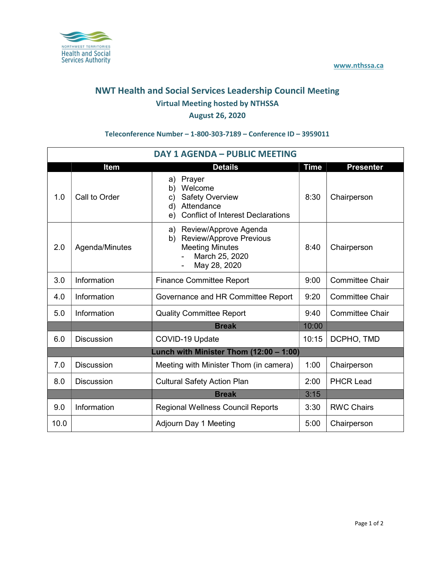

## NWT Health and Social Services Leadership Council Meeting Virtual Meeting hosted by NTHSSA August 26, 2020

## Teleconference Number – 1-800-303-7189 – Conference ID – 3959011

| <b>DAY 1 AGENDA - PUBLIC MEETING</b>    |                   |                                                                                                                                     |             |                        |  |  |  |
|-----------------------------------------|-------------------|-------------------------------------------------------------------------------------------------------------------------------------|-------------|------------------------|--|--|--|
|                                         | <b>Item</b>       | <b>Details</b>                                                                                                                      | <b>Time</b> | <b>Presenter</b>       |  |  |  |
| 1.0                                     | Call to Order     | Prayer<br>a)<br>Welcome<br>b)<br><b>Safety Overview</b><br>c)<br>Attendance<br>d)<br><b>Conflict of Interest Declarations</b><br>e) | 8:30        | Chairperson            |  |  |  |
| 2.0                                     | Agenda/Minutes    | a) Review/Approve Agenda<br><b>Review/Approve Previous</b><br>b)<br><b>Meeting Minutes</b><br>March 25, 2020<br>May 28, 2020        | 8:40        | Chairperson            |  |  |  |
| 3.0                                     | Information       | <b>Finance Committee Report</b>                                                                                                     | 9:00        | <b>Committee Chair</b> |  |  |  |
| 4.0                                     | Information       | Governance and HR Committee Report                                                                                                  | 9:20        | <b>Committee Chair</b> |  |  |  |
| 5.0                                     | Information       | <b>Quality Committee Report</b>                                                                                                     | 9:40        | <b>Committee Chair</b> |  |  |  |
|                                         |                   | <b>Break</b>                                                                                                                        | 10:00       |                        |  |  |  |
| 6.0                                     | <b>Discussion</b> | COVID-19 Update                                                                                                                     | 10:15       | DCPHO, TMD             |  |  |  |
| Lunch with Minister Thom (12:00 - 1:00) |                   |                                                                                                                                     |             |                        |  |  |  |
| 7.0                                     | <b>Discussion</b> | Meeting with Minister Thom (in camera)                                                                                              | 1:00        | Chairperson            |  |  |  |
| 8.0                                     | <b>Discussion</b> | <b>Cultural Safety Action Plan</b>                                                                                                  | 2:00        | <b>PHCR Lead</b>       |  |  |  |
|                                         |                   | <b>Break</b>                                                                                                                        | 3:15        |                        |  |  |  |
| 9.0                                     | Information       | <b>Regional Wellness Council Reports</b>                                                                                            | 3:30        | <b>RWC Chairs</b>      |  |  |  |
| 10.0                                    |                   | Adjourn Day 1 Meeting                                                                                                               | 5:00        | Chairperson            |  |  |  |